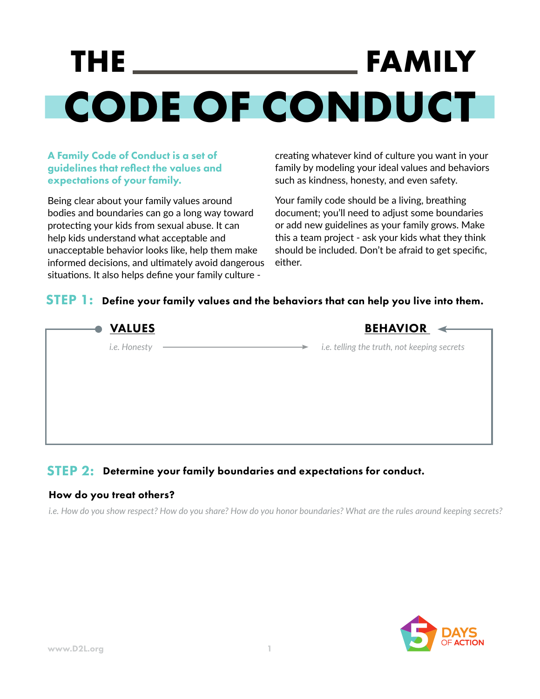# **THE FAMILY CODE OF CONDUCT**

### A Family Code of Conduct is a set of guidelines that reflect the values and expectations of your family.

Being clear about your family values around bodies and boundaries can go a long way toward protecting your kids from sexual abuse. It can help kids understand what acceptable and unacceptable behavior looks like, help them make informed decisions, and ultimately avoid dangerous situations. It also helps define your family culture -

creating whatever kind of culture you want in your family by modeling your ideal values and behaviors such as kindness, honesty, and even safety.

Your family code should be a living, breathing document; you'll need to adjust some boundaries or add new guidelines as your family grows. Make this a team project - ask your kids what they think should be included. Don't be afraid to get specific, either.

## STEP 1: Define your family values and the behaviors that can help you live into them.

| <b>VALUES</b> | <b>BEHAVIOR</b>                                  |
|---------------|--------------------------------------------------|
| i.e. Honesty  | i.e. telling the truth, not keeping secrets<br>► |
|               |                                                  |
|               |                                                  |
|               |                                                  |
|               |                                                  |
|               |                                                  |

## STEP 2: Determine your family boundaries and expectations for conduct.

### How do you treat others?

*i.e. How do you show respect? How do you share? How do you honor boundaries? What are the rules around keeping secrets?*

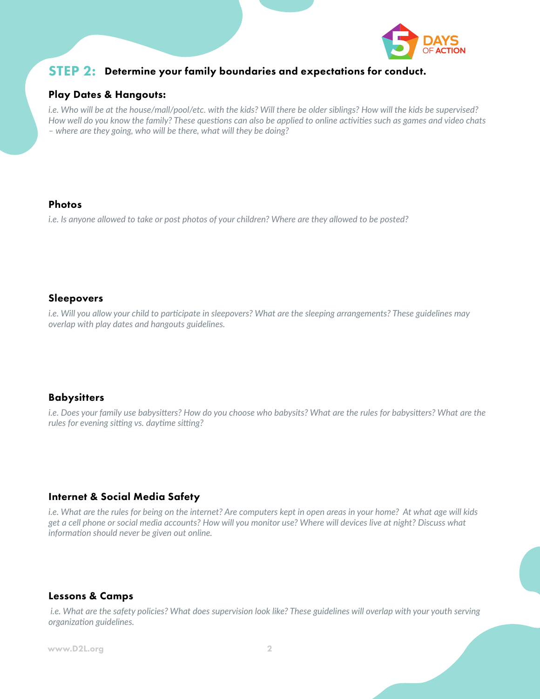

## STEP 2: Determine your family boundaries and expectations for conduct.

#### Play Dates & Hangouts:

*i.e. Who will be at the house/mall/pool/etc. with the kids? Will there be older siblings? How will the kids be supervised? How well do you know the family? These questions can also be applied to online activities such as games and video chats – where are they going, who will be there, what will they be doing?* 

#### Photos

*i.e. Is anyone allowed to take or post photos of your children? Where are they allowed to be posted?* 

#### Sleepovers

*i.e. Will you allow your child to participate in sleepovers? What are the sleeping arrangements? These guidelines may overlap with play dates and hangouts guidelines.*

### **Babysitters**

*i.e. Does your family use babysitters? How do you choose who babysits? What are the rules for babysitters? What are the rules for evening sitting vs. daytime sitting?* 

### Internet & Social Media Safety

*i.e. What are the rules for being on the internet? Are computers kept in open areas in your home? At what age will kids*  get a cell phone or social media accounts? How will you monitor use? Where will devices live at night? Discuss what *information should never be given out online.* 

### Lessons & Camps

 *i.e. What are the safety policies? What does supervision look like? These guidelines will overlap with your youth serving organization guidelines.*